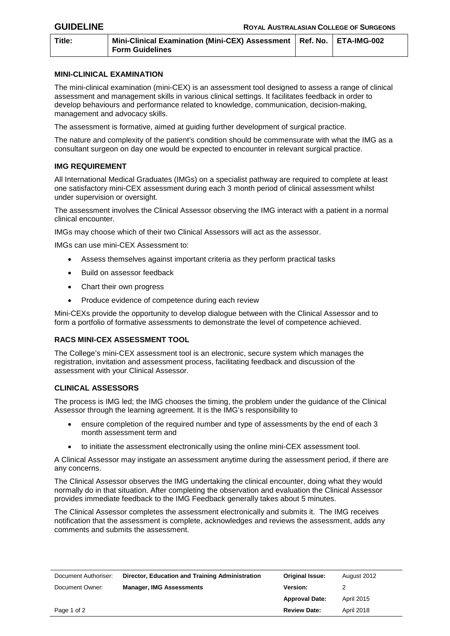| Title: | Mini-Clinical Examination (Mini-CEX) Assessment   Ref. No.   ETA-IMG-002 |  |  |
|--------|--------------------------------------------------------------------------|--|--|
|        | Form Guidelines                                                          |  |  |

## **MINI-CLINICAL EXAMINATION**

The mini-clinical examination (mini-CEX) is an assessment tool designed to assess a range of clinical assessment and management skills in various clinical settings. It facilitates feedback in order to develop behaviours and performance related to knowledge, communication, decision-making, management and advocacy skills.

The assessment is formative, aimed at guiding further development of surgical practice.

The nature and complexity of the patient's condition should be commensurate with what the IMG as a consultant surgeon on day one would be expected to encounter in relevant surgical practice.

## **IMG REQUIREMENT**

All International Medical Graduates (IMGs) on a specialist pathway are required to complete at least one satisfactory mini-CEX assessment during each 3 month period of clinical assessment whilst under supervision or oversight.

The assessment involves the Clinical Assessor observing the IMG interact with a patient in a normal clinical encounter.

IMGs may choose which of their two Clinical Assessors will act as the assessor.

IMGs can use mini-CEX Assessment to:

- Assess themselves against important criteria as they perform practical tasks
- Build on assessor feedback
- Chart their own progress
- Produce evidence of competence during each review

Mini-CEXs provide the opportunity to develop dialogue between with the Clinical Assessor and to form a portfolio of formative assessments to demonstrate the level of competence achieved.

## **RACS MINI-CEX ASSESSMENT TOOL**

The College's mini-CEX assessment tool is an electronic, secure system which manages the registration, invitation and assessment process, facilitating feedback and discussion of the assessment with your Clinical Assessor.

## **CLINICAL ASSESSORS**

The process is IMG led; the IMG chooses the timing, the problem under the guidance of the Clinical Assessor through the learning agreement. It is the IMG's responsibility to

- ensure completion of the required number and type of assessments by the end of each 3 month assessment term and
- to initiate the assessment electronically using the online mini-CEX assessment tool.

A Clinical Assessor may instigate an assessment anytime during the assessment period, if there are any concerns.

The Clinical Assessor observes the IMG undertaking the clinical encounter, doing what they would normally do in that situation. After completing the observation and evaluation the Clinical Assessor provides immediate feedback to the IMG Feedback generally takes about 5 minutes.

The Clinical Assessor completes the assessment electronically and submits it. The IMG receives notification that the assessment is complete, acknowledges and reviews the assessment, adds any comments and submits the assessment.

| Document Authoriser: | Director, Education and Training Administration | Original Issue:       | August 2012 |
|----------------------|-------------------------------------------------|-----------------------|-------------|
| Document Owner:      | <b>Manager, IMG Assessments</b>                 | <b>Version:</b>       |             |
|                      |                                                 | <b>Approval Date:</b> | April 2015  |
| Page 1 of 2          |                                                 | <b>Review Date:</b>   | April 2018  |